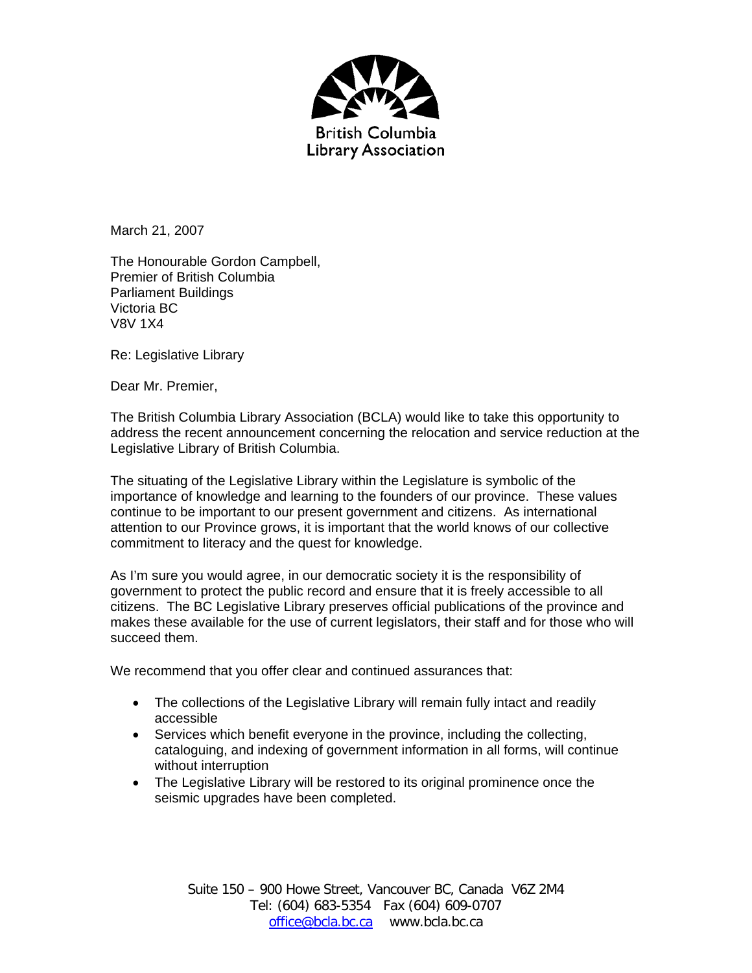

March 21, 2007

The Honourable Gordon Campbell, Premier of British Columbia Parliament Buildings Victoria BC V8V 1X4

Re: Legislative Library

Dear Mr. Premier,

The British Columbia Library Association (BCLA) would like to take this opportunity to address the recent announcement concerning the relocation and service reduction at the Legislative Library of British Columbia.

The situating of the Legislative Library within the Legislature is symbolic of the importance of knowledge and learning to the founders of our province. These values continue to be important to our present government and citizens. As international attention to our Province grows, it is important that the world knows of our collective commitment to literacy and the quest for knowledge.

As I'm sure you would agree, in our democratic society it is the responsibility of government to protect the public record and ensure that it is freely accessible to all citizens. The BC Legislative Library preserves official publications of the province and makes these available for the use of current legislators, their staff and for those who will succeed them.

We recommend that you offer clear and continued assurances that:

- The collections of the Legislative Library will remain fully intact and readily accessible
- Services which benefit everyone in the province, including the collecting, cataloguing, and indexing of government information in all forms, will continue without interruption
- The Legislative Library will be restored to its original prominence once the seismic upgrades have been completed.